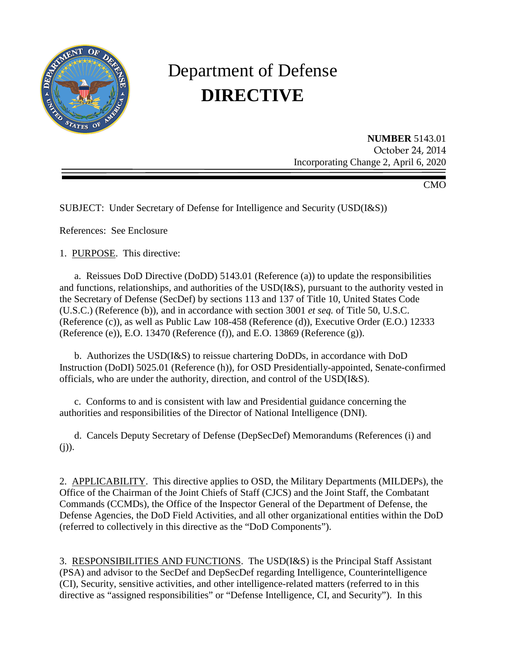

# Department of Defense **DIRECTIVE**

**NUMBER** 5143.01 October 24, 2014 Incorporating Change 2, April 6, 2020

CMO

SUBJECT: Under Secretary of Defense for Intelligence and Security (USD(I&S))

References: See Enclosure

1. PURPOSE. This directive:

a. Reissues DoD Directive (DoDD) 5143.01 (Reference (a)) to update the responsibilities and functions, relationships, and authorities of the USD(I&S), pursuant to the authority vested in the Secretary of Defense (SecDef) by sections 113 and 137 of Title 10, United States Code (U.S.C.) (Reference (b)), and in accordance with section 3001 *et seq.* of Title 50, U.S.C. (Reference (c)), as well as Public Law 108-458 (Reference (d)), Executive Order (E.O.) 12333 (Reference (e)), E.O. 13470 (Reference (f)), and E.O. 13869 (Reference (g)).

b. Authorizes the USD(I&S) to reissue chartering DoDDs, in accordance with DoD Instruction (DoDI) 5025.01 (Reference (h)), for OSD Presidentially-appointed, Senate-confirmed officials*,* who are under the authority, direction, and control of the USD(I&S).

c. Conforms to and is consistent with law and Presidential guidance concerning the authorities and responsibilities of the Director of National Intelligence (DNI).

d. Cancels Deputy Secretary of Defense (DepSecDef) Memorandums (References (i) and  $(j)$ ).

2. APPLICABILITY. This directive applies to OSD, the Military Departments (MILDEPs), the Office of the Chairman of the Joint Chiefs of Staff (CJCS) and the Joint Staff, the Combatant Commands (CCMDs), the Office of the Inspector General of the Department of Defense, the Defense Agencies, the DoD Field Activities, and all other organizational entities within the DoD (referred to collectively in this directive as the "DoD Components").

3. RESPONSIBILITIES AND FUNCTIONS. The USD(I&S) is the Principal Staff Assistant (PSA) and advisor to the SecDef and DepSecDef regarding Intelligence, Counterintelligence (CI), Security, sensitive activities, and other intelligence-related matters (referred to in this directive as "assigned responsibilities" or "Defense Intelligence, CI, and Security"). In this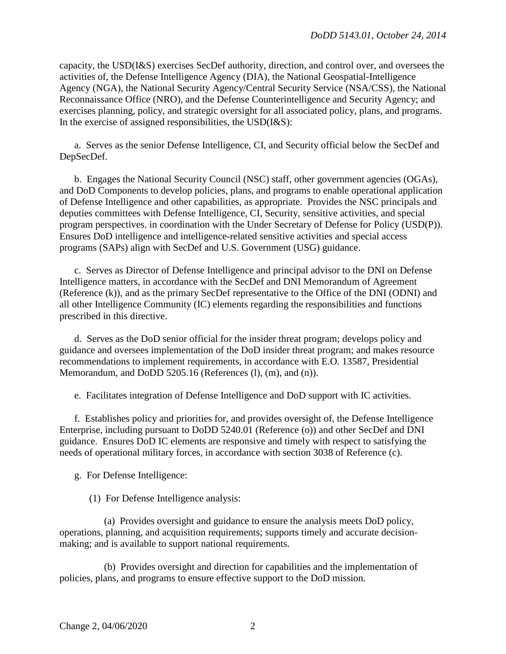capacity, the USD(I&S) exercises SecDef authority, direction, and control over, and oversees the activities of, the Defense Intelligence Agency (DIA), the National Geospatial-Intelligence Agency (NGA), the National Security Agency/Central Security Service (NSA/CSS), the National Reconnaissance Office (NRO), and the Defense Counterintelligence and Security Agency; and exercises planning, policy, and strategic oversight for all associated policy, plans, and programs. In the exercise of assigned responsibilities, the  $USD(I\&S)$ :

a. Serves as the senior Defense Intelligence, CI, and Security official below the SecDef and DepSecDef.

b. Engages the National Security Council (NSC) staff, other government agencies (OGAs), and DoD Components to develop policies, plans, and programs to enable operational application of Defense Intelligence and other capabilities, as appropriate. Provides the NSC principals and deputies committees with Defense Intelligence, CI, Security, sensitive activities, and special program perspectives*,* in coordination with the Under Secretary of Defense for Policy (USD(P)). Ensures DoD intelligence and intelligence-related sensitive activities and special access programs (SAPs) align with SecDef and U.S. Government (USG) guidance.

c. Serves as Director of Defense Intelligence and principal advisor to the DNI on Defense Intelligence matters, in accordance with the SecDef and DNI Memorandum of Agreement (Reference (k)), and as the primary SecDef representative to the Office of the DNI (ODNI) and all other Intelligence Community (IC) elements regarding the responsibilities and functions prescribed in this directive.

d. Serves as the DoD senior official for the insider threat program; develops policy and guidance and oversees implementation of the DoD insider threat program; and makes resource recommendations to implement requirements*,* in accordance with E.O. 13587, Presidential Memorandum, and DoDD 5205.16 (References (1), (m), and (n)).

e. Facilitates integration of Defense Intelligence and DoD support with IC activities.

f. Establishes policy and priorities for, and provides oversight of, the Defense Intelligence Enterprise, including pursuant to DoDD 5240.01 (Reference (o)) and other SecDef and DNI guidance. Ensures DoD IC elements are responsive and timely with respect to satisfying the needs of operational military forces*,* in accordance with section 3038 of Reference (c).

g. For Defense Intelligence:

(1) For Defense Intelligence analysis:

(a) Provides oversight and guidance to ensure the analysis meets DoD policy, operations, planning, and acquisition requirements; supports timely and accurate decisionmaking; and is available to support national requirements.

(b) Provides oversight and direction for capabilities and the implementation of policies, plans, and programs to ensure effective support to the DoD mission.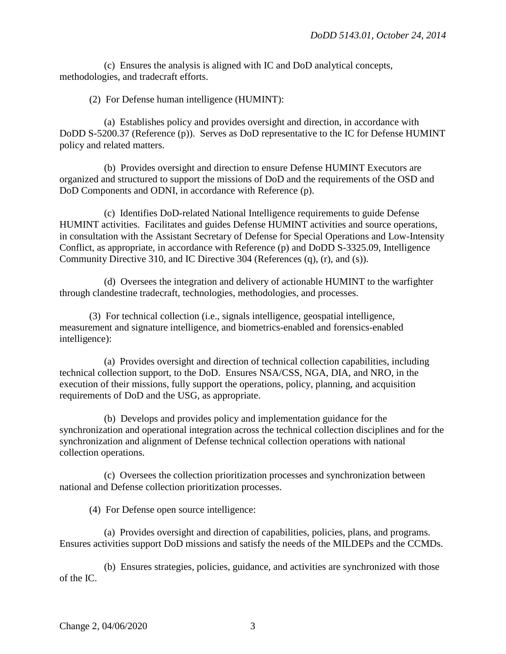(c) Ensures the analysis is aligned with IC and DoD analytical concepts, methodologies, and tradecraft efforts.

(2) For Defense human intelligence (HUMINT):

(a) Establishes policy and provides oversight and direction, in accordance with DoDD S-5200.37 (Reference (p)). Serves as DoD representative to the IC for Defense HUMINT policy and related matters.

(b) Provides oversight and direction to ensure Defense HUMINT Executors are organized and structured to support the missions of DoD and the requirements of the OSD and DoD Components and ODNI, in accordance with Reference (p).

(c) Identifies DoD-related National Intelligence requirements to guide Defense HUMINT activities. Facilitates and guides Defense HUMINT activities and source operations, in consultation with the Assistant Secretary of Defense for Special Operations and Low-Intensity Conflict, as appropriate, in accordance with Reference (p) and DoDD S-3325.09, Intelligence Community Directive 310, and IC Directive 304 (References (q), (r), and (s)).

(d) Oversees the integration and delivery of actionable HUMINT to the warfighter through clandestine tradecraft, technologies, methodologies, and processes.

(3) For technical collection (i.e., signals intelligence, geospatial intelligence, measurement and signature intelligence, and biometrics-enabled and forensics-enabled intelligence):

(a) Provides oversight and direction of technical collection capabilities, including technical collection support, to the DoD. Ensures NSA/CSS, NGA, DIA, and NRO, in the execution of their missions, fully support the operations, policy, planning, and acquisition requirements of DoD and the USG, as appropriate.

(b) Develops and provides policy and implementation guidance for the synchronization and operational integration across the technical collection disciplines and for the synchronization and alignment of Defense technical collection operations with national collection operations.

(c) Oversees the collection prioritization processes and synchronization between national and Defense collection prioritization processes.

(4) For Defense open source intelligence:

(a) Provides oversight and direction of capabilities, policies, plans, and programs. Ensures activities support DoD missions and satisfy the needs of the MILDEPs and the CCMDs.

(b) Ensures strategies, policies, guidance, and activities are synchronized with those of the IC.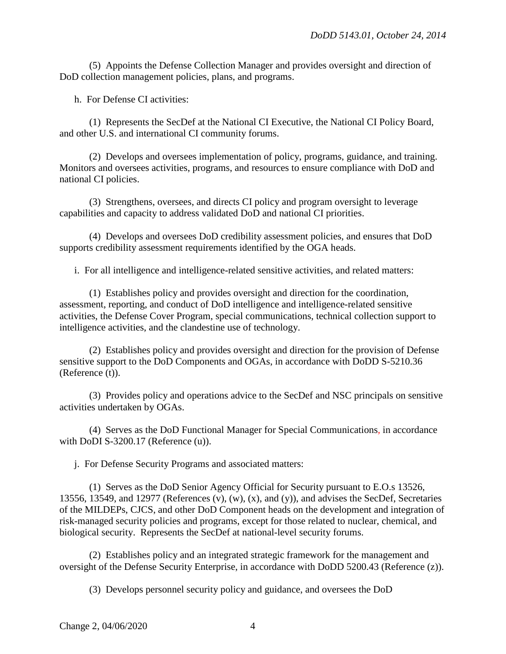(5) Appoints the Defense Collection Manager and provides oversight and direction of DoD collection management policies, plans, and programs.

h. For Defense CI activities:

(1) Represents the SecDef at the National CI Executive, the National CI Policy Board, and other U.S. and international CI community forums.

(2) Develops and oversees implementation of policy, programs, guidance, and training. Monitors and oversees activities, programs, and resources to ensure compliance with DoD and national CI policies.

(3) Strengthens, oversees, and directs CI policy and program oversight to leverage capabilities and capacity to address validated DoD and national CI priorities.

(4) Develops and oversees DoD credibility assessment policies, and ensures that DoD supports credibility assessment requirements identified by the OGA heads.

i. For all intelligence and intelligence-related sensitive activities, and related matters:

(1) Establishes policy and provides oversight and direction for the coordination, assessment, reporting, and conduct of DoD intelligence and intelligence-related sensitive activities, the Defense Cover Program, special communications, technical collection support to intelligence activities, and the clandestine use of technology.

(2) Establishes policy and provides oversight and direction for the provision of Defense sensitive support to the DoD Components and OGAs, in accordance with DoDD S-5210.36 (Reference (t)).

(3) Provides policy and operations advice to the SecDef and NSC principals on sensitive activities undertaken by OGAs.

(4) Serves as the DoD Functional Manager for Special Communications*,* in accordance with DoDI S-3200.17 (Reference (u)).

j. For Defense Security Programs and associated matters:

(1) Serves as the DoD Senior Agency Official for Security pursuant to E.O.s 13526, 13556, 13549, and 12977 (References (v), (w), (x), and (y)), and advises the SecDef, Secretaries of the MILDEPs, CJCS, and other DoD Component heads on the development and integration of risk-managed security policies and programs, except for those related to nuclear, chemical, and biological security. Represents the SecDef at national-level security forums.

(2) Establishes policy and an integrated strategic framework for the management and oversight of the Defense Security Enterprise, in accordance with DoDD 5200.43 (Reference (z)).

(3) Develops personnel security policy and guidance, and oversees the DoD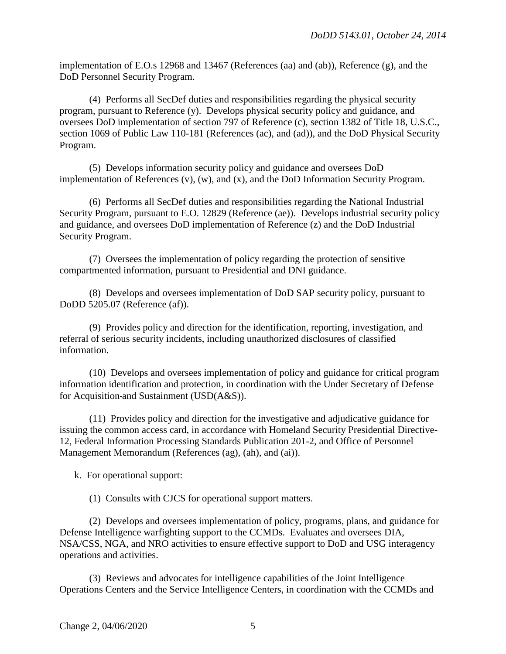implementation of E.O.s 12968 and 13467 (References (aa) and (ab)), Reference (g), and the DoD Personnel Security Program.

(4) Performs all SecDef duties and responsibilities regarding the physical security program, pursuant to Reference (y). Develops physical security policy and guidance, and oversees DoD implementation of section 797 of Reference (c), section 1382 of Title 18, U.S.C., section 1069 of Public Law 110-181 (References (ac), and (ad)), and the DoD Physical Security Program.

(5) Develops information security policy and guidance and oversees DoD implementation of References (v), (w), and (x), and the DoD Information Security Program.

(6) Performs all SecDef duties and responsibilities regarding the National Industrial Security Program, pursuant to E.O. 12829 (Reference (ae)). Develops industrial security policy and guidance, and oversees DoD implementation of Reference (z) and the DoD Industrial Security Program.

(7) Oversees the implementation of policy regarding the protection of sensitive compartmented information, pursuant to Presidential and DNI guidance.

(8) Develops and oversees implementation of DoD SAP security policy, pursuant to DoDD 5205.07 (Reference (af)).

(9) Provides policy and direction for the identification, reporting, investigation, and referral of serious security incidents, including unauthorized disclosures of classified information.

(10) Develops and oversees implementation of policy and guidance for critical program information identification and protection, in coordination with the Under Secretary of Defense for Acquisition and Sustainment (USD(A&S)).

(11) Provides policy and direction for the investigative and adjudicative guidance for issuing the common access card*,* in accordance with Homeland Security Presidential Directive-12, Federal Information Processing Standards Publication 201-2, and Office of Personnel Management Memorandum (References (ag), (ah), and (ai)).

k. For operational support:

(1) Consults with CJCS for operational support matters.

(2) Develops and oversees implementation of policy, programs, plans, and guidance for Defense Intelligence warfighting support to the CCMDs. Evaluates and oversees DIA, NSA/CSS, NGA, and NRO activities to ensure effective support to DoD and USG interagency operations and activities.

(3) Reviews and advocates for intelligence capabilities of the Joint Intelligence Operations Centers and the Service Intelligence Centers, in coordination with the CCMDs and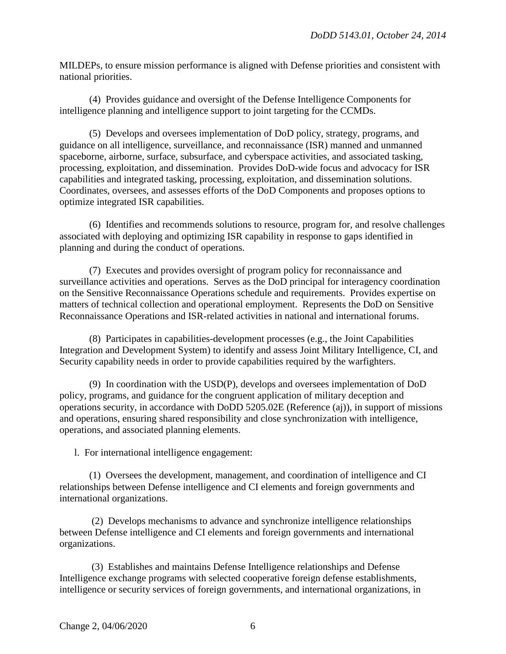MILDEPs, to ensure mission performance is aligned with Defense priorities and consistent with national priorities.

(4) Provides guidance and oversight of the Defense Intelligence Components for intelligence planning and intelligence support to joint targeting for the CCMDs.

(5) Develops and oversees implementation of DoD policy, strategy, programs, and guidance on all intelligence, surveillance, and reconnaissance (ISR) manned and unmanned spaceborne, airborne, surface, subsurface, and cyberspace activities, and associated tasking, processing, exploitation, and dissemination. Provides DoD-wide focus and advocacy for ISR capabilities and integrated tasking, processing, exploitation, and dissemination solutions. Coordinates, oversees, and assesses efforts of the DoD Components and proposes options to optimize integrated ISR capabilities.

(6) Identifies and recommends solutions to resource, program for, and resolve challenges associated with deploying and optimizing ISR capability in response to gaps identified in planning and during the conduct of operations.

(7) Executes and provides oversight of program policy for reconnaissance and surveillance activities and operations. Serves as the DoD principal for interagency coordination on the Sensitive Reconnaissance Operations schedule and requirements. Provides expertise on matters of technical collection and operational employment. Represents the DoD on Sensitive Reconnaissance Operations and ISR-related activities in national and international forums.

(8) Participates in capabilities-development processes (e.g., the Joint Capabilities Integration and Development System) to identify and assess Joint Military Intelligence, CI, and Security capability needs in order to provide capabilities required by the warfighters.

(9) In coordination with the USD(P), develops and oversees implementation of DoD policy, programs, and guidance for the congruent application of military deception and operations security, in accordance with DoDD 5205.02E (Reference (aj)), in support of missions and operations, ensuring shared responsibility and close synchronization with intelligence, operations, and associated planning elements.

l. For international intelligence engagement:

(1) Oversees the development, management, and coordination of intelligence and CI relationships between Defense intelligence and CI elements and foreign governments and international organizations.

(2) Develops mechanisms to advance and synchronize intelligence relationships between Defense intelligence and CI elements and foreign governments and international organizations.

(3) Establishes and maintains Defense Intelligence relationships and Defense Intelligence exchange programs with selected cooperative foreign defense establishments, intelligence or security services of foreign governments, and international organizations, in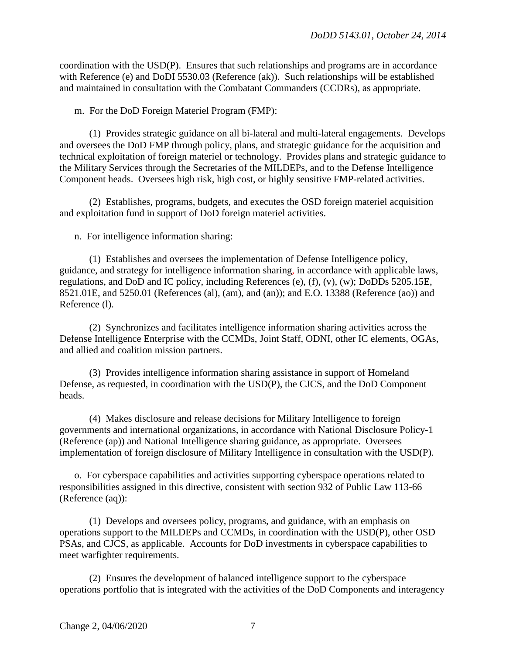coordination with the USD(P). Ensures that such relationships and programs are in accordance with Reference (e) and DoDI 5530.03 (Reference (ak)). Such relationships will be established and maintained in consultation with the Combatant Commanders (CCDRs), as appropriate.

m. For the DoD Foreign Materiel Program (FMP):

(1) Provides strategic guidance on all bi-lateral and multi-lateral engagements. Develops and oversees the DoD FMP through policy, plans, and strategic guidance for the acquisition and technical exploitation of foreign materiel or technology. Provides plans and strategic guidance to the Military Services through the Secretaries of the MILDEPs, and to the Defense Intelligence Component heads. Oversees high risk, high cost, or highly sensitive FMP-related activities.

(2) Establishes, programs, budgets, and executes the OSD foreign materiel acquisition and exploitation fund in support of DoD foreign materiel activities.

n. For intelligence information sharing:

(1) Establishes and oversees the implementation of Defense Intelligence policy, guidance, and strategy for intelligence information sharing*,* in accordance with applicable laws, regulations, and DoD and IC policy, including References (e), (f), (v), (w); DoDDs 5205.15E, 8521.01E, and 5250.01 (References (al), (am), and (an)); and E.O. 13388 (Reference (ao)) and Reference (l).

(2) Synchronizes and facilitates intelligence information sharing activities across the Defense Intelligence Enterprise with the CCMDs, Joint Staff, ODNI, other IC elements, OGAs, and allied and coalition mission partners.

(3) Provides intelligence information sharing assistance in support of Homeland Defense, as requested, in coordination with the USD(P), the CJCS, and the DoD Component heads.

(4) Makes disclosure and release decisions for Military Intelligence to foreign governments and international organizations*,* in accordance with National Disclosure Policy-1 (Reference (ap)) and National Intelligence sharing guidance, as appropriate. Oversees implementation of foreign disclosure of Military Intelligence in consultation with the USD(P).

o. For cyberspace capabilities and activities supporting cyberspace operations related to responsibilities assigned in this directive, consistent with section 932 of Public Law 113-66 (Reference (aq)):

(1) Develops and oversees policy, programs, and guidance, with an emphasis on operations support to the MILDEPs and CCMDs, in coordination with the USD(P), other OSD PSAs, and CJCS, as applicable. Accounts for DoD investments in cyberspace capabilities to meet warfighter requirements.

(2) Ensures the development of balanced intelligence support to the cyberspace operations portfolio that is integrated with the activities of the DoD Components and interagency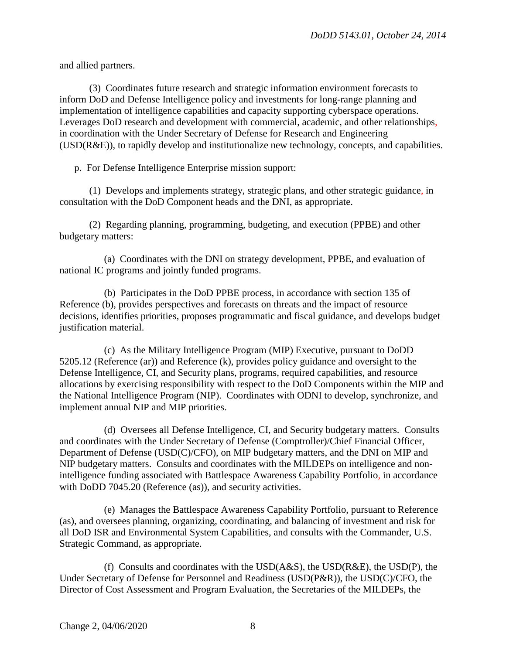and allied partners.

(3) Coordinates future research and strategic information environment forecasts to inform DoD and Defense Intelligence policy and investments for long-range planning and implementation of intelligence capabilities and capacity supporting cyberspace operations. Leverages DoD research and development with commercial, academic, and other relationships*,* in coordination with the Under Secretary of Defense for Research and Engineering (USD(R&E)), to rapidly develop and institutionalize new technology, concepts, and capabilities.

p. For Defense Intelligence Enterprise mission support:

(1) Develops and implements strategy, strategic plans, and other strategic guidance*,* in consultation with the DoD Component heads and the DNI, as appropriate.

(2) Regarding planning, programming, budgeting, and execution (PPBE) and other budgetary matters:

(a) Coordinates with the DNI on strategy development, PPBE, and evaluation of national IC programs and jointly funded programs.

(b) Participates in the DoD PPBE process, in accordance with section 135 of Reference (b), provides perspectives and forecasts on threats and the impact of resource decisions, identifies priorities, proposes programmatic and fiscal guidance, and develops budget justification material.

(c) As the Military Intelligence Program (MIP) Executive, pursuant to DoDD 5205.12 (Reference (ar)) and Reference (k), provides policy guidance and oversight to the Defense Intelligence, CI, and Security plans, programs, required capabilities, and resource allocations by exercising responsibility with respect to the DoD Components within the MIP and the National Intelligence Program (NIP). Coordinates with ODNI to develop, synchronize, and implement annual NIP and MIP priorities.

(d) Oversees all Defense Intelligence, CI, and Security budgetary matters. Consults and coordinates with the Under Secretary of Defense (Comptroller)/Chief Financial Officer, Department of Defense (USD(C)/CFO), on MIP budgetary matters, and the DNI on MIP and NIP budgetary matters. Consults and coordinates with the MILDEPs on intelligence and nonintelligence funding associated with Battlespace Awareness Capability Portfolio*,* in accordance with DoDD 7045.20 (Reference (as)), and security activities.

(e) Manages the Battlespace Awareness Capability Portfolio, pursuant to Reference (as), and oversees planning, organizing, coordinating, and balancing of investment and risk for all DoD ISR and Environmental System Capabilities, and consults with the Commander, U.S. Strategic Command, as appropriate.

(f) Consults and coordinates with the  $USD(A&S)$ , the  $USD(R&E)$ , the  $USD(P)$ , the Under Secretary of Defense for Personnel and Readiness (USD(P&R)), the USD(C)/CFO, the Director of Cost Assessment and Program Evaluation, the Secretaries of the MILDEPs, the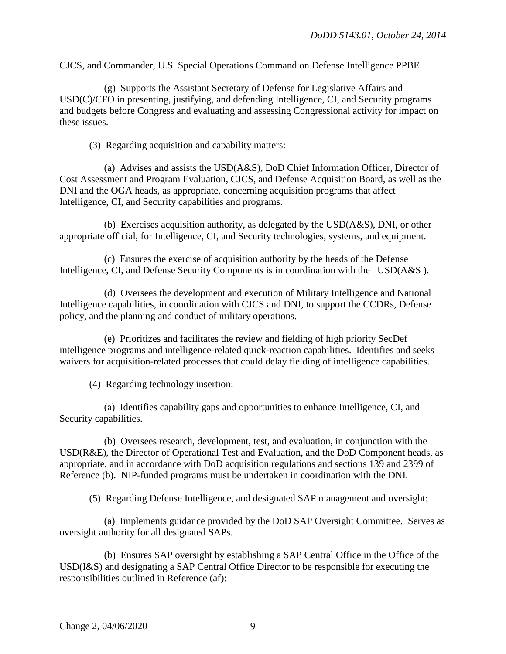CJCS, and Commander, U.S. Special Operations Command on Defense Intelligence PPBE.

(g) Supports the Assistant Secretary of Defense for Legislative Affairs and USD(C)/CFO in presenting, justifying, and defending Intelligence, CI, and Security programs and budgets before Congress and evaluating and assessing Congressional activity for impact on these issues.

(3) Regarding acquisition and capability matters:

(a) Advises and assists the USD(A&S), DoD Chief Information Officer, Director of Cost Assessment and Program Evaluation, CJCS, and Defense Acquisition Board, as well as the DNI and the OGA heads, as appropriate, concerning acquisition programs that affect Intelligence, CI, and Security capabilities and programs.

(b) Exercises acquisition authority, as delegated by the USD(A&S), DNI, or other appropriate official, for Intelligence, CI, and Security technologies, systems, and equipment.

(c) Ensures the exercise of acquisition authority by the heads of the Defense Intelligence, CI, and Defense Security Components is in coordination with the USD( $A&S$ ).

(d) Oversees the development and execution of Military Intelligence and National Intelligence capabilities, in coordination with CJCS and DNI, to support the CCDRs, Defense policy, and the planning and conduct of military operations.

(e) Prioritizes and facilitates the review and fielding of high priority SecDef intelligence programs and intelligence-related quick-reaction capabilities. Identifies and seeks waivers for acquisition-related processes that could delay fielding of intelligence capabilities.

(4) Regarding technology insertion:

(a) Identifies capability gaps and opportunities to enhance Intelligence, CI, and Security capabilities.

(b) Oversees research, development, test, and evaluation, in conjunction with the USD(R&E), the Director of Operational Test and Evaluation, and the DoD Component heads, as appropriate, and in accordance with DoD acquisition regulations and sections 139 and 2399 of Reference (b). NIP-funded programs must be undertaken in coordination with the DNI.

(5) Regarding Defense Intelligence, and designated SAP management and oversight:

(a) Implements guidance provided by the DoD SAP Oversight Committee. Serves as oversight authority for all designated SAPs.

(b) Ensures SAP oversight by establishing a SAP Central Office in the Office of the USD(I&S) and designating a SAP Central Office Director to be responsible for executing the responsibilities outlined in Reference (af):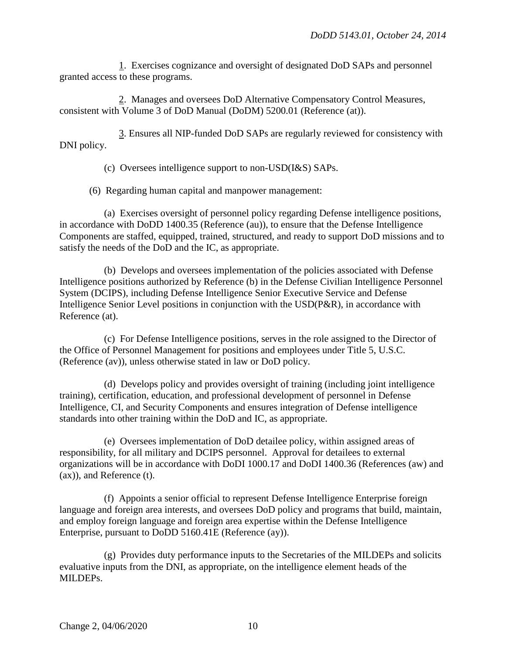1. Exercises cognizance and oversight of designated DoD SAPs and personnel granted access to these programs.

2. Manages and oversees DoD Alternative Compensatory Control Measures, consistent with Volume 3 of DoD Manual (DoDM) 5200.01 (Reference (at)).

3. Ensures all NIP-funded DoD SAPs are regularly reviewed for consistency with DNI policy.

(c) Oversees intelligence support to non-USD(I&S) SAPs.

(6) Regarding human capital and manpower management:

(a) Exercises oversight of personnel policy regarding Defense intelligence positions, in accordance with DoDD 1400.35 (Reference (au)), to ensure that the Defense Intelligence Components are staffed, equipped, trained, structured, and ready to support DoD missions and to satisfy the needs of the DoD and the IC, as appropriate.

(b) Develops and oversees implementation of the policies associated with Defense Intelligence positions authorized by Reference (b) in the Defense Civilian Intelligence Personnel System (DCIPS), including Defense Intelligence Senior Executive Service and Defense Intelligence Senior Level positions in conjunction with the USD(P&R), in accordance with Reference (at).

(c) For Defense Intelligence positions, serves in the role assigned to the Director of the Office of Personnel Management for positions and employees under Title 5, U.S.C. (Reference (av)), unless otherwise stated in law or DoD policy.

(d) Develops policy and provides oversight of training (including joint intelligence training), certification, education, and professional development of personnel in Defense Intelligence, CI, and Security Components and ensures integration of Defense intelligence standards into other training within the DoD and IC, as appropriate.

(e) Oversees implementation of DoD detailee policy, within assigned areas of responsibility, for all military and DCIPS personnel. Approval for detailees to external organizations will be in accordance with DoDI 1000.17 and DoDI 1400.36 (References (aw) and (ax)), and Reference (t).

(f) Appoints a senior official to represent Defense Intelligence Enterprise foreign language and foreign area interests, and oversees DoD policy and programs that build, maintain, and employ foreign language and foreign area expertise within the Defense Intelligence Enterprise, pursuant to DoDD 5160.41E (Reference (ay)).

(g) Provides duty performance inputs to the Secretaries of the MILDEPs and solicits evaluative inputs from the DNI, as appropriate, on the intelligence element heads of the MILDEPs.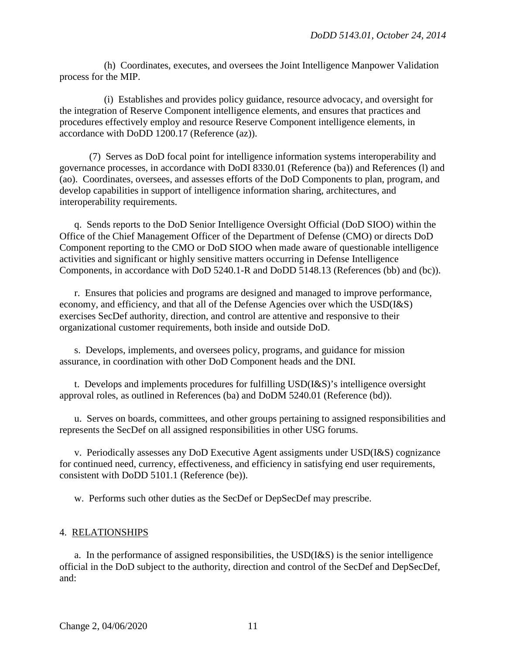(h) Coordinates, executes, and oversees the Joint Intelligence Manpower Validation process for the MIP.

(i) Establishes and provides policy guidance, resource advocacy, and oversight for the integration of Reserve Component intelligence elements, and ensures that practices and procedures effectively employ and resource Reserve Component intelligence elements, in accordance with DoDD 1200.17 (Reference (az)).

(7) Serves as DoD focal point for intelligence information systems interoperability and governance processes, in accordance with DoDI 8330.01 (Reference (ba)) and References (l) and (ao). Coordinates, oversees, and assesses efforts of the DoD Components to plan, program, and develop capabilities in support of intelligence information sharing, architectures, and interoperability requirements.

q. Sends reports to the DoD Senior Intelligence Oversight Official (DoD SIOO) within the Office of the Chief Management Officer of the Department of Defense (CMO) or directs DoD Component reporting to the CMO or DoD SIOO when made aware of questionable intelligence activities and significant or highly sensitive matters occurring in Defense Intelligence Components, in accordance with DoD 5240.1-R and DoDD 5148.13 (References (bb) and (bc)).

r. Ensures that policies and programs are designed and managed to improve performance, economy, and efficiency, and that all of the Defense Agencies over which the USD(I&S) exercises SecDef authority, direction, and control are attentive and responsive to their organizational customer requirements, both inside and outside DoD.

s. Develops, implements, and oversees policy, programs, and guidance for mission assurance, in coordination with other DoD Component heads and the DNI.

t. Develops and implements procedures for fulfilling USD(I&S)'s intelligence oversight approval roles, as outlined in References (ba) and DoDM 5240.01 (Reference (bd)).

u. Serves on boards, committees, and other groups pertaining to assigned responsibilities and represents the SecDef on all assigned responsibilities in other USG forums.

v. Periodically assesses any DoD Executive Agent assigments under USD(I&S) cognizance for continued need, currency, effectiveness, and efficiency in satisfying end user requirements, consistent with DoDD 5101.1 (Reference (be)).

w. Performs such other duties as the SecDef or DepSecDef may prescribe.

#### 4. RELATIONSHIPS

a. In the performance of assigned responsibilities, the USD(I&S) is the senior intelligence official in the DoD subject to the authority, direction and control of the SecDef and DepSecDef, and: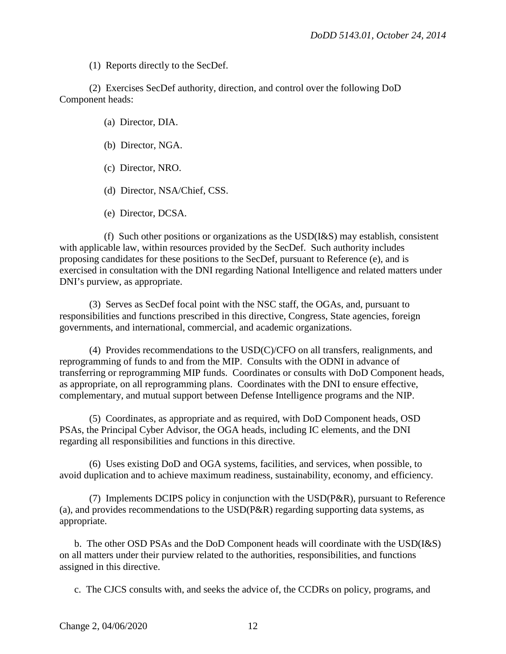(1) Reports directly to the SecDef.

(2) Exercises SecDef authority, direction, and control over the following DoD Component heads:

(a) Director, DIA.

- (b) Director, NGA.
- (c) Director, NRO.
- (d) Director, NSA/Chief, CSS.
- (e) Director, DCSA.

(f) Such other positions or organizations as the  $USD(I\&S)$  may establish, consistent with applicable law, within resources provided by the SecDef. Such authority includes proposing candidates for these positions to the SecDef, pursuant to Reference (e), and is exercised in consultation with the DNI regarding National Intelligence and related matters under DNI's purview, as appropriate.

(3) Serves as SecDef focal point with the NSC staff, the OGAs, and, pursuant to responsibilities and functions prescribed in this directive, Congress, State agencies, foreign governments, and international, commercial, and academic organizations.

(4) Provides recommendations to the USD(C)/CFO on all transfers, realignments, and reprogramming of funds to and from the MIP. Consults with the ODNI in advance of transferring or reprogramming MIP funds. Coordinates or consults with DoD Component heads, as appropriate, on all reprogramming plans. Coordinates with the DNI to ensure effective, complementary, and mutual support between Defense Intelligence programs and the NIP.

(5) Coordinates, as appropriate and as required, with DoD Component heads, OSD PSAs, the Principal Cyber Advisor, the OGA heads, including IC elements, and the DNI regarding all responsibilities and functions in this directive.

(6) Uses existing DoD and OGA systems, facilities, and services, when possible, to avoid duplication and to achieve maximum readiness, sustainability, economy, and efficiency.

(7) Implements DCIPS policy in conjunction with the USD(P&R), pursuant to Reference (a), and provides recommendations to the USD(P&R) regarding supporting data systems, as appropriate.

b. The other OSD PSAs and the DoD Component heads will coordinate with the USD(I&S) on all matters under their purview related to the authorities, responsibilities, and functions assigned in this directive.

c. The CJCS consults with, and seeks the advice of, the CCDRs on policy, programs, and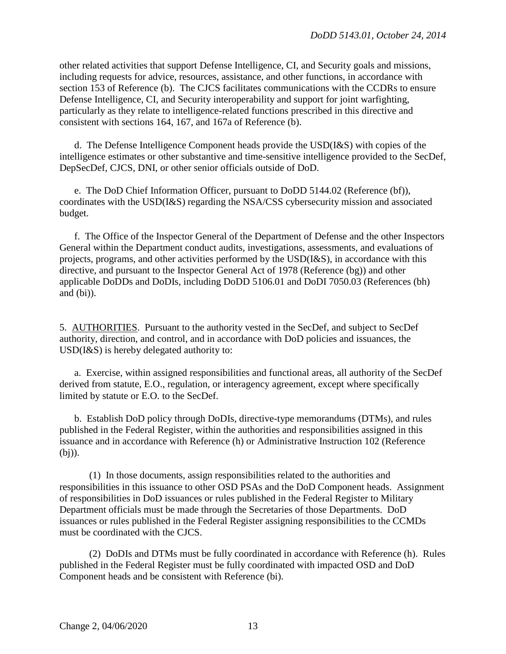other related activities that support Defense Intelligence, CI, and Security goals and missions, including requests for advice, resources, assistance, and other functions, in accordance with section 153 of Reference (b). The CJCS facilitates communications with the CCDRs to ensure Defense Intelligence, CI, and Security interoperability and support for joint warfighting, particularly as they relate to intelligence-related functions prescribed in this directive and consistent with sections 164, 167, and 167a of Reference (b).

d. The Defense Intelligence Component heads provide the USD(I&S) with copies of the intelligence estimates or other substantive and time-sensitive intelligence provided to the SecDef, DepSecDef, CJCS, DNI, or other senior officials outside of DoD.

e. The DoD Chief Information Officer, pursuant to DoDD 5144.02 (Reference (bf)), coordinates with the USD(I&S) regarding the NSA/CSS cybersecurity mission and associated budget.

f. The Office of the Inspector General of the Department of Defense and the other Inspectors General within the Department conduct audits, investigations, assessments, and evaluations of projects, programs, and other activities performed by the USD(I&S), in accordance with this directive, and pursuant to the Inspector General Act of 1978 (Reference (bg)) and other applicable DoDDs and DoDIs, including DoDD 5106.01 and DoDI 7050.03 (References (bh) and (bi)).

5. AUTHORITIES. Pursuant to the authority vested in the SecDef, and subject to SecDef authority, direction, and control, and in accordance with DoD policies and issuances, the USD(I&S) is hereby delegated authority to:

a. Exercise, within assigned responsibilities and functional areas, all authority of the SecDef derived from statute, E.O., regulation, or interagency agreement, except where specifically limited by statute or E.O. to the SecDef.

b. Establish DoD policy through DoDIs, directive-type memorandums (DTMs), and rules published in the Federal Register, within the authorities and responsibilities assigned in this issuance and in accordance with Reference (h) or Administrative Instruction 102 (Reference (bj)).

 (1) In those documents, assign responsibilities related to the authorities and responsibilities in this issuance to other OSD PSAs and the DoD Component heads. Assignment of responsibilities in DoD issuances or rules published in the Federal Register to Military Department officials must be made through the Secretaries of those Departments. DoD issuances or rules published in the Federal Register assigning responsibilities to the CCMDs must be coordinated with the CJCS.

 (2) DoDIs and DTMs must be fully coordinated in accordance with Reference (h). Rules published in the Federal Register must be fully coordinated with impacted OSD and DoD Component heads and be consistent with Reference (bi).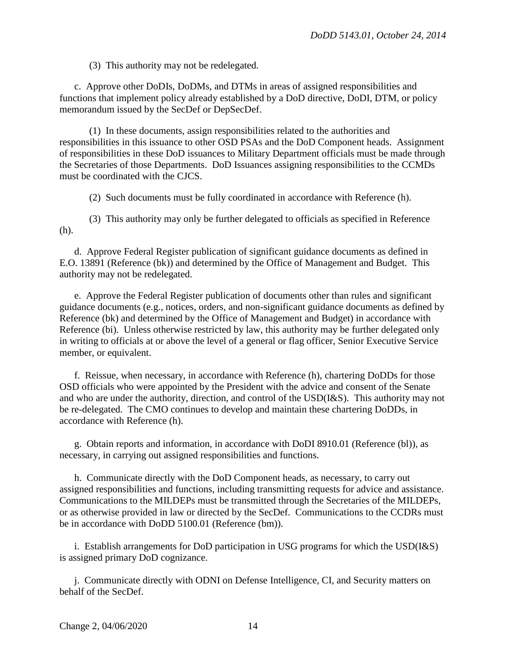(3) This authority may not be redelegated.

c. Approve other DoDIs, DoDMs, and DTMs in areas of assigned responsibilities and functions that implement policy already established by a DoD directive, DoDI, DTM, or policy memorandum issued by the SecDef or DepSecDef.

(1) In these documents, assign responsibilities related to the authorities and responsibilities in this issuance to other OSD PSAs and the DoD Component heads. Assignment of responsibilities in these DoD issuances to Military Department officials must be made through the Secretaries of those Departments. DoD Issuances assigning responsibilities to the CCMDs must be coordinated with the CJCS.

(2) Such documents must be fully coordinated in accordance with Reference (h).

(3) This authority may only be further delegated to officials as specified in Reference (h).

d. Approve Federal Register publication of significant guidance documents as defined in E.O. 13891 (Reference (bk)) and determined by the Office of Management and Budget. This authority may not be redelegated.

e. Approve the Federal Register publication of documents other than rules and significant guidance documents (e.g., notices, orders, and non-significant guidance documents as defined by Reference (bk) and determined by the Office of Management and Budget) in accordance with Reference (bi). Unless otherwise restricted by law, this authority may be further delegated only in writing to officials at or above the level of a general or flag officer, Senior Executive Service member, or equivalent.

f. Reissue, when necessary, in accordance with Reference (h), chartering DoDDs for those OSD officials who were appointed by the President with the advice and consent of the Senate and who are under the authority, direction, and control of the USD(I&S). This authority may not be re-delegated. The CMO continues to develop and maintain these chartering DoDDs, in accordance with Reference (h).

g. Obtain reports and information, in accordance with DoDI 8910.01 (Reference (bl)), as necessary, in carrying out assigned responsibilities and functions.

h. Communicate directly with the DoD Component heads, as necessary, to carry out assigned responsibilities and functions, including transmitting requests for advice and assistance. Communications to the MILDEPs must be transmitted through the Secretaries of the MILDEPs, or as otherwise provided in law or directed by the SecDef. Communications to the CCDRs must be in accordance with DoDD 5100.01 (Reference (bm)).

i. Establish arrangements for DoD participation in USG programs for which the USD(I&S) is assigned primary DoD cognizance.

j. Communicate directly with ODNI on Defense Intelligence, CI, and Security matters on behalf of the SecDef.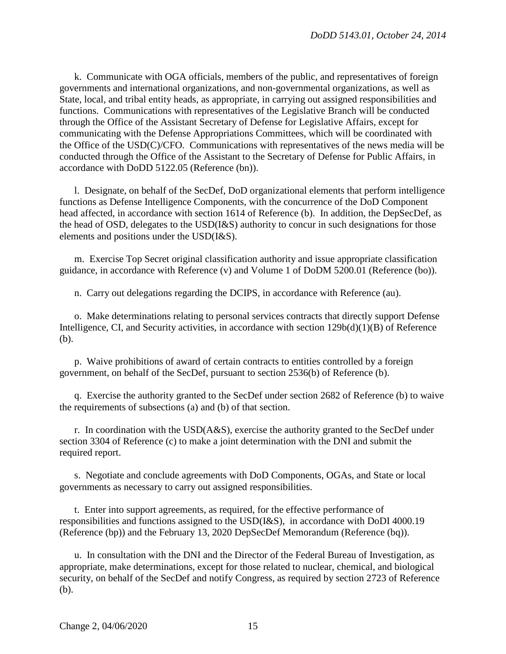k. Communicate with OGA officials, members of the public, and representatives of foreign governments and international organizations, and non-governmental organizations, as well as State, local, and tribal entity heads, as appropriate, in carrying out assigned responsibilities and functions. Communications with representatives of the Legislative Branch will be conducted through the Office of the Assistant Secretary of Defense for Legislative Affairs, except for communicating with the Defense Appropriations Committees, which will be coordinated with the Office of the USD(C)/CFO. Communications with representatives of the news media will be conducted through the Office of the Assistant to the Secretary of Defense for Public Affairs, in accordance with DoDD 5122.05 (Reference (bn)).

l. Designate, on behalf of the SecDef, DoD organizational elements that perform intelligence functions as Defense Intelligence Components, with the concurrence of the DoD Component head affected, in accordance with section 1614 of Reference (b). In addition, the DepSecDef, as the head of OSD, delegates to the USD(I&S) authority to concur in such designations for those elements and positions under the USD(I&S).

m. Exercise Top Secret original classification authority and issue appropriate classification guidance, in accordance with Reference (v) and Volume 1 of DoDM 5200.01 (Reference (bo)).

n. Carry out delegations regarding the DCIPS, in accordance with Reference (au).

o. Make determinations relating to personal services contracts that directly support Defense Intelligence, CI, and Security activities, in accordance with section 129b(d)(1)(B) of Reference (b).

p. Waive prohibitions of award of certain contracts to entities controlled by a foreign government, on behalf of the SecDef, pursuant to section 2536(b) of Reference (b).

q. Exercise the authority granted to the SecDef under section 2682 of Reference (b) to waive the requirements of subsections (a) and (b) of that section.

r. In coordination with the USD(A&S), exercise the authority granted to the SecDef under section 3304 of Reference (c) to make a joint determination with the DNI and submit the required report.

s. Negotiate and conclude agreements with DoD Components, OGAs, and State or local governments as necessary to carry out assigned responsibilities.

t. Enter into support agreements, as required, for the effective performance of responsibilities and functions assigned to the USD(I&S), in accordance with DoDI 4000.19 (Reference (bp)) and the February 13, 2020 DepSecDef Memorandum (Reference (bq)).

u. In consultation with the DNI and the Director of the Federal Bureau of Investigation, as appropriate, make determinations, except for those related to nuclear, chemical, and biological security, on behalf of the SecDef and notify Congress, as required by section 2723 of Reference (b).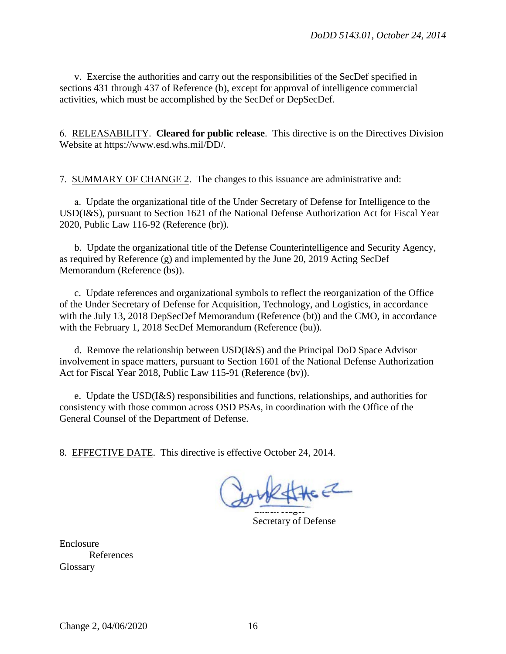v. Exercise the authorities and carry out the responsibilities of the SecDef specified in sections 431 through 437 of Reference (b), except for approval of intelligence commercial activities, which must be accomplished by the SecDef or DepSecDef.

6. RELEASABILITY. **Cleared for public release**. This directive is on the Directives Division Website at https://www.esd.whs.mil/DD/.

7. SUMMARY OF CHANGE 2. The changes to this issuance are administrative and:

a. Update the organizational title of the Under Secretary of Defense for Intelligence to the USD(I&S), pursuant to Section 1621 of the National Defense Authorization Act for Fiscal Year 2020, Public Law 116-92 (Reference (br)).

b. Update the organizational title of the Defense Counterintelligence and Security Agency, as required by Reference (g) and implemented by the June 20, 2019 Acting SecDef Memorandum (Reference (bs)).

c. Update references and organizational symbols to reflect the reorganization of the Office of the Under Secretary of Defense for Acquisition, Technology, and Logistics, in accordance with the July 13, 2018 DepSecDef Memorandum (Reference (bt)) and the CMO, in accordance with the February 1, 2018 SecDef Memorandum (Reference (bu)).

d. Remove the relationship between USD(I&S) and the Principal DoD Space Advisor involvement in space matters, pursuant to Section 1601 of the National Defense Authorization Act for Fiscal Year 2018, Public Law 115-91 (Reference (bv)).

e. Update the USD(I&S) responsibilities and functions, relationships, and authorities for consistency with those common across OSD PSAs, in coordination with the Office of the General Counsel of the Department of Defense.

8 . EFFECTIVE DATE. This directive is effective October 24, 2014.

Chuch Hagel

Secretary of Defense

Enclosure References **Glossary**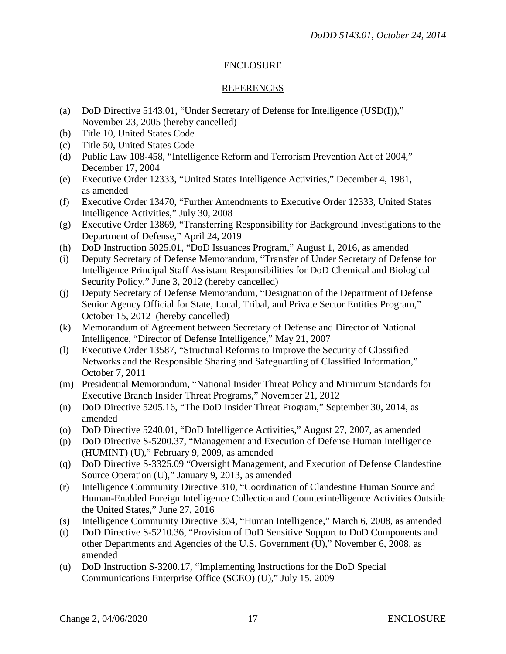#### ENCLOSURE

#### **REFERENCES**

- (a) DoD Directive 5143.01, "Under Secretary of Defense for Intelligence (USD(I))," November 23, 2005 (hereby cancelled)
- (b) Title 10, United States Code
- (c) Title 50, United States Code
- (d) Public Law 108-458, "Intelligence Reform and Terrorism Prevention Act of 2004," December 17, 2004
- (e) Executive Order 12333, "United States Intelligence Activities," December 4, 1981, as amended
- (f) Executive Order 13470, "Further Amendments to Executive Order 12333, United States Intelligence Activities," July 30, 2008
- (g) Executive Order 13869, "Transferring Responsibility for Background Investigations to the Department of Defense," April 24, 2019
- (h) DoD Instruction 5025.01, "DoD Issuances Program," August 1, 2016, as amended
- (i) Deputy Secretary of Defense Memorandum, "Transfer of Under Secretary of Defense for Intelligence Principal Staff Assistant Responsibilities for DoD Chemical and Biological Security Policy," June 3, 2012 (hereby cancelled)
- (j) Deputy Secretary of Defense Memorandum, "Designation of the Department of Defense Senior Agency Official for State, Local, Tribal, and Private Sector Entities Program," October 15, 2012 (hereby cancelled)
- (k) Memorandum of Agreement between Secretary of Defense and Director of National Intelligence, "Director of Defense Intelligence," May 21, 2007
- (l) Executive Order 13587, "Structural Reforms to Improve the Security of Classified Networks and the Responsible Sharing and Safeguarding of Classified Information," October 7, 2011
- (m) Presidential Memorandum, "National Insider Threat Policy and Minimum Standards for Executive Branch Insider Threat Programs," November 21, 2012
- (n) DoD Directive 5205.16, "The DoD Insider Threat Program," September 30, 2014, as amended
- (o) DoD Directive 5240.01, "DoD Intelligence Activities," August 27, 2007, as amended
- (p) DoD Directive S-5200.37, "Management and Execution of Defense Human Intelligence (HUMINT) (U)," February 9, 2009, as amended
- (q) DoD Directive S-3325.09 "Oversight Management, and Execution of Defense Clandestine Source Operation (U)," January 9, 2013, as amended
- (r) Intelligence Community Directive 310, "Coordination of Clandestine Human Source and Human-Enabled Foreign Intelligence Collection and Counterintelligence Activities Outside the United States," June 27, 2016
- (s) Intelligence Community Directive 304, "Human Intelligence," March 6, 2008, as amended
- (t) DoD Directive S-5210.36, "Provision of DoD Sensitive Support to DoD Components and other Departments and Agencies of the U.S. Government (U)," November 6, 2008, as amended
- (u) DoD Instruction S-3200.17, "Implementing Instructions for the DoD Special Communications Enterprise Office (SCEO) (U)," July 15, 2009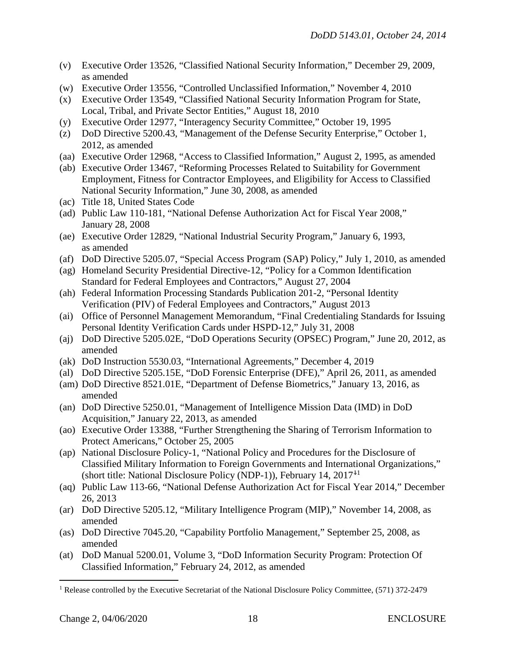- (v) Executive Order 13526, "Classified National Security Information," December 29, 2009, as amended
- (w) Executive Order 13556, "Controlled Unclassified Information," November 4, 2010
- (x) Executive Order 13549, "Classified National Security Information Program for State, Local, Tribal, and Private Sector Entities," August 18, 2010
- (y) Executive Order 12977, "Interagency Security Committee," October 19, 1995
- (z) DoD Directive 5200.43, "Management of the Defense Security Enterprise," October 1, 2012, as amended
- (aa) Executive Order 12968, "Access to Classified Information," August 2, 1995, as amended
- (ab) Executive Order 13467, "Reforming Processes Related to Suitability for Government Employment, Fitness for Contractor Employees, and Eligibility for Access to Classified National Security Information," June 30, 2008, as amended
- (ac) Title 18, United States Code
- (ad) Public Law 110-181, "National Defense Authorization Act for Fiscal Year 2008," January 28, 2008
- (ae) Executive Order 12829, "National Industrial Security Program," January 6, 1993, as amended
- (af) DoD Directive 5205.07, "Special Access Program (SAP) Policy," July 1, 2010, as amended
- (ag) Homeland Security Presidential Directive-12, "Policy for a Common Identification Standard for Federal Employees and Contractors," August 27, 2004
- (ah) Federal Information Processing Standards Publication 201-2, "Personal Identity Verification (PIV) of Federal Employees and Contractors," August 2013
- (ai) Office of Personnel Management Memorandum, "Final Credentialing Standards for Issuing Personal Identity Verification Cards under HSPD-12," July 31, 2008
- (aj) DoD Directive 5205.02E, "DoD Operations Security (OPSEC) Program," June 20, 2012, as amended
- (ak) DoD Instruction 5530.03, "International Agreements," December 4, 2019
- (al) DoD Directive 5205.15E, "DoD Forensic Enterprise (DFE)," April 26, 2011, as amended
- (am) DoD Directive 8521.01E, "Department of Defense Biometrics," January 13, 2016, as amended
- (an) DoD Directive 5250.01, "Management of Intelligence Mission Data (IMD) in DoD Acquisition," January 22, 2013, as amended
- (ao) Executive Order 13388, "Further Strengthening the Sharing of Terrorism Information to Protect Americans," October 25, 2005
- (ap) National Disclosure Policy-1, "National Policy and Procedures for the Disclosure of Classified Military Information to Foreign Governments and International Organizations," (short title: National Disclosure Policy (NDP-1)), February 14, 2017[1](#page-17-0)1
- (aq) Public Law 113-66, "National Defense Authorization Act for Fiscal Year 2014," December 26, 2013
- (ar) DoD Directive 5205.12, "Military Intelligence Program (MIP)," November 14, 2008, as amended
- (as) DoD Directive 7045.20, "Capability Portfolio Management," September 25, 2008, as amended
- (at) DoD Manual 5200.01, Volume 3, "DoD Information Security Program: Protection Of Classified Information," February 24, 2012, as amended

 $\overline{a}$ 

<span id="page-17-0"></span><sup>&</sup>lt;sup>1</sup> Release controlled by the Executive Secretariat of the National Disclosure Policy Committee, (571) 372-2479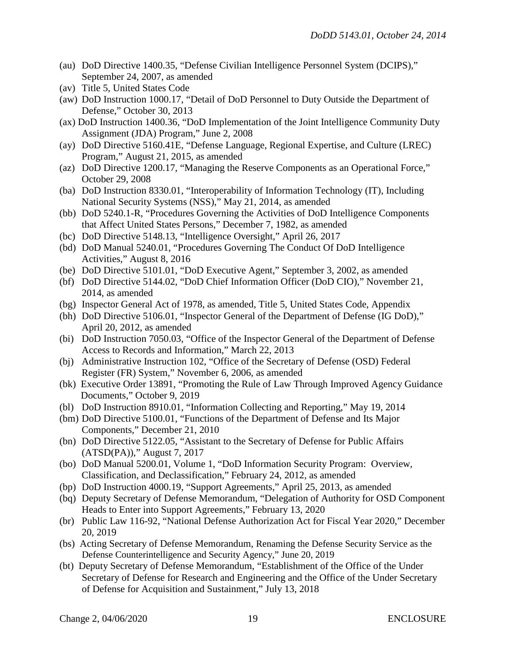- (au) DoD Directive 1400.35, "Defense Civilian Intelligence Personnel System (DCIPS)," September 24, 2007, as amended
- (av) Title 5, United States Code
- (aw) DoD Instruction 1000.17, "Detail of DoD Personnel to Duty Outside the Department of Defense," October 30, 2013
- (ax) DoD Instruction 1400.36, "DoD Implementation of the Joint Intelligence Community Duty Assignment (JDA) Program," June 2, 2008
- (ay) DoD Directive 5160.41E, "Defense Language, Regional Expertise, and Culture (LREC) Program," August 21, 2015, as amended
- (az) DoD Directive 1200.17, "Managing the Reserve Components as an Operational Force," October 29, 2008
- (ba) DoD Instruction 8330.01, "Interoperability of Information Technology (IT), Including National Security Systems (NSS)," May 21, 2014, as amended
- (bb) DoD 5240.1-R, "Procedures Governing the Activities of DoD Intelligence Components that Affect United States Persons," December 7, 1982, as amended
- (bc) DoD Directive 5148.13, "Intelligence Oversight," April 26, 2017
- (bd) DoD Manual 5240.01, "Procedures Governing The Conduct Of DoD Intelligence Activities," August 8, 2016
- (be) DoD Directive 5101.01, "DoD Executive Agent," September 3, 2002, as amended
- (bf) DoD Directive 5144.02, "DoD Chief Information Officer (DoD CIO)," November 21, 2014, as amended
- (bg) Inspector General Act of 1978, as amended, Title 5, United States Code, Appendix
- (bh) DoD Directive 5106.01, "Inspector General of the Department of Defense (IG DoD)," April 20, 2012, as amended
- (bi) DoD Instruction 7050.03, "Office of the Inspector General of the Department of Defense Access to Records and Information," March 22, 2013
- (bj) Administrative Instruction 102, "Office of the Secretary of Defense (OSD) Federal Register (FR) System," November 6, 2006, as amended
- (bk) Executive Order 13891, "Promoting the Rule of Law Through Improved Agency Guidance Documents," October 9, 2019
- (bl) DoD Instruction 8910.01, "Information Collecting and Reporting," May 19, 2014
- (bm) DoD Directive 5100.01, "Functions of the Department of Defense and Its Major Components," December 21, 2010
- (bn) DoD Directive 5122.05, ["Assistant to the Secretary of Defense for Public Affairs](http://www.dtic.mil/whs/directives/corres/pdf/512205p.pdf)  [\(ATSD\(PA\)\),](http://www.dtic.mil/whs/directives/corres/pdf/512205p.pdf)" August 7, 2017
- (bo) DoD Manual 5200.01, Volume 1, "DoD Information Security Program: Overview, Classification, and Declassification," February 24, 2012, as amended
- (bp) DoD Instruction 4000.19, "Support Agreements," April 25, 2013, as amended
- (bq) Deputy Secretary of Defense Memorandum, "Delegation of Authority for OSD Component Heads to Enter into Support Agreements," February 13, 2020
- (br) Public Law 116-92, "National Defense Authorization Act for Fiscal Year 2020," December 20, 2019
- (bs) Acting Secretary of Defense Memorandum, Renaming the Defense Security Service as the Defense Counterintelligence and Security Agency," June 20, 2019
- (bt) Deputy Secretary of Defense Memorandum, "Establishment of the Office of the Under Secretary of Defense for Research and Engineering and the Office of the Under Secretary of Defense for Acquisition and Sustainment," July 13, 2018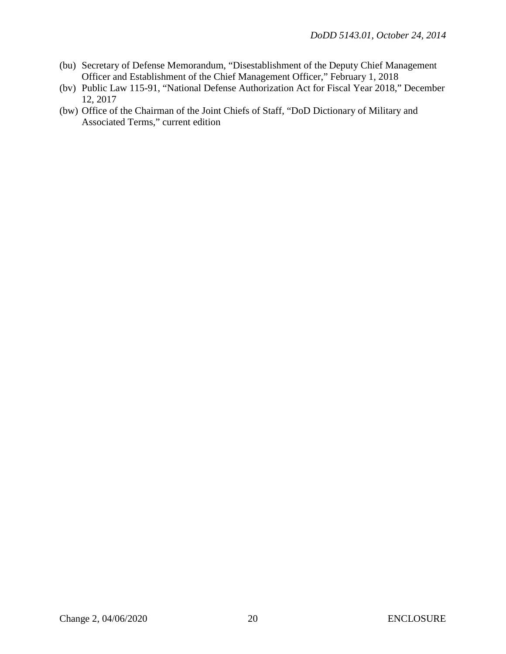- (bu) Secretary of Defense Memorandum, "Disestablishment of the Deputy Chief Management Officer and Establishment of the Chief Management Officer," February 1, 2018
- (bv) Public Law 115-91, "National Defense Authorization Act for Fiscal Year 2018," December 12, 2017
- (bw) Office of the Chairman of the Joint Chiefs of Staff, "DoD Dictionary of Military and Associated Terms," current edition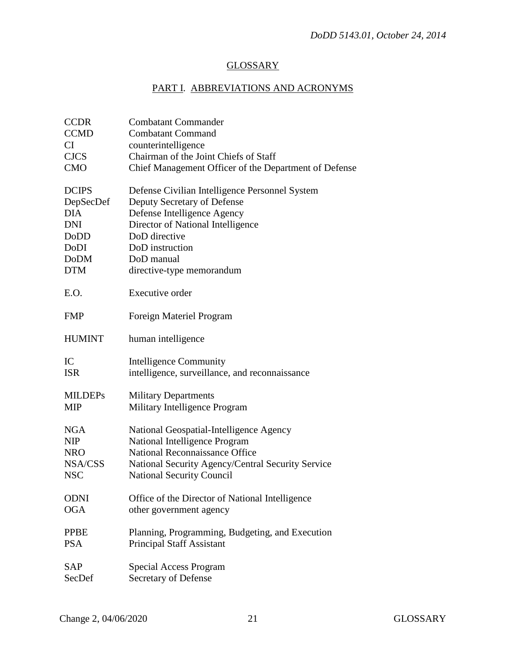## **GLOSSARY**

## PART I. ABBREVIATIONS AND ACRONYMS

| <b>CCDR</b>    | <b>Combatant Commander</b>                            |
|----------------|-------------------------------------------------------|
| <b>CCMD</b>    | <b>Combatant Command</b>                              |
| <b>CI</b>      | counterintelligence                                   |
| <b>CJCS</b>    | Chairman of the Joint Chiefs of Staff                 |
| <b>CMO</b>     | Chief Management Officer of the Department of Defense |
| <b>DCIPS</b>   | Defense Civilian Intelligence Personnel System        |
| DepSecDef      | Deputy Secretary of Defense                           |
| <b>DIA</b>     | Defense Intelligence Agency                           |
| <b>DNI</b>     | Director of National Intelligence                     |
| DoDD           | DoD directive                                         |
| DoDI           | DoD instruction                                       |
| <b>DoDM</b>    | DoD manual                                            |
| <b>DTM</b>     | directive-type memorandum                             |
|                |                                                       |
| E.O.           | Executive order                                       |
| <b>FMP</b>     | Foreign Materiel Program                              |
| <b>HUMINT</b>  | human intelligence                                    |
| IC             | <b>Intelligence Community</b>                         |
| <b>ISR</b>     | intelligence, surveillance, and reconnaissance        |
| <b>MILDEPs</b> | <b>Military Departments</b>                           |
| <b>MIP</b>     | Military Intelligence Program                         |
| NGA            | National Geospatial-Intelligence Agency               |
| <b>NIP</b>     | National Intelligence Program                         |
| <b>NRO</b>     | <b>National Reconnaissance Office</b>                 |
| NSA/CSS        | National Security Agency/Central Security Service     |
| <b>NSC</b>     | <b>National Security Council</b>                      |
| <b>ODNI</b>    | Office of the Director of National Intelligence       |
| <b>OGA</b>     | other government agency                               |
| <b>PPBE</b>    | Planning, Programming, Budgeting, and Execution       |
| <b>PSA</b>     | <b>Principal Staff Assistant</b>                      |
| <b>SAP</b>     | <b>Special Access Program</b>                         |
| SecDef         | Secretary of Defense                                  |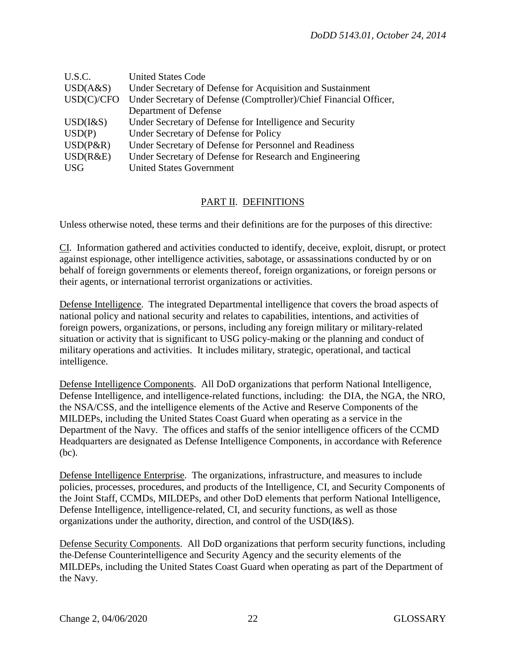| U.S.C.          | <b>United States Code</b>                                         |
|-----------------|-------------------------------------------------------------------|
| USD(A&S)        | Under Secretary of Defense for Acquisition and Sustainment        |
| USD(C)/CFO      | Under Secretary of Defense (Comptroller)/Chief Financial Officer, |
|                 | Department of Defense                                             |
| $USD$ ( $\&S$ ) | Under Secretary of Defense for Intelligence and Security          |
| USD(P)          | Under Secretary of Defense for Policy                             |
| $USD(P\&R)$     | Under Secretary of Defense for Personnel and Readiness            |
| USD(R&E)        | Under Secretary of Defense for Research and Engineering           |
| <b>USG</b>      | <b>United States Government</b>                                   |

### PART II. DEFINITIONS

Unless otherwise noted, these terms and their definitions are for the purposes of this directive:

CI. Information gathered and activities conducted to identify, deceive, exploit, disrupt, or protect against espionage, other intelligence activities, sabotage, or assassinations conducted by or on behalf of foreign governments or elements thereof, foreign organizations, or foreign persons or their agents, or international terrorist organizations or activities.

Defense Intelligence. The integrated Departmental intelligence that covers the broad aspects of national policy and national security and relates to capabilities, intentions, and activities of foreign powers, organizations, or persons, including any foreign military or military-related situation or activity that is significant to USG policy-making or the planning and conduct of military operations and activities. It includes military, strategic, operational, and tactical intelligence.

Defense Intelligence Components. All DoD organizations that perform National Intelligence, Defense Intelligence, and intelligence-related functions, including: the DIA, the NGA, the NRO, the NSA/CSS, and the intelligence elements of the Active and Reserve Components of the MILDEPs, including the United States Coast Guard when operating as a service in the Department of the Navy. The offices and staffs of the senior intelligence officers of the CCMD Headquarters are designated as Defense Intelligence Components, in accordance with Reference (bc).

Defense Intelligence Enterprise. The organizations, infrastructure, and measures to include policies, processes, procedures, and products of the Intelligence, CI, and Security Components of the Joint Staff, CCMDs, MILDEPs, and other DoD elements that perform National Intelligence, Defense Intelligence, intelligence-related, CI, and security functions, as well as those organizations under the authority, direction, and control of the USD(I&S).

Defense Security Components. All DoD organizations that perform security functions, including the Defense Counterintelligence and Security Agency and the security elements of the MILDEPs, including the United States Coast Guard when operating as part of the Department of the Navy.